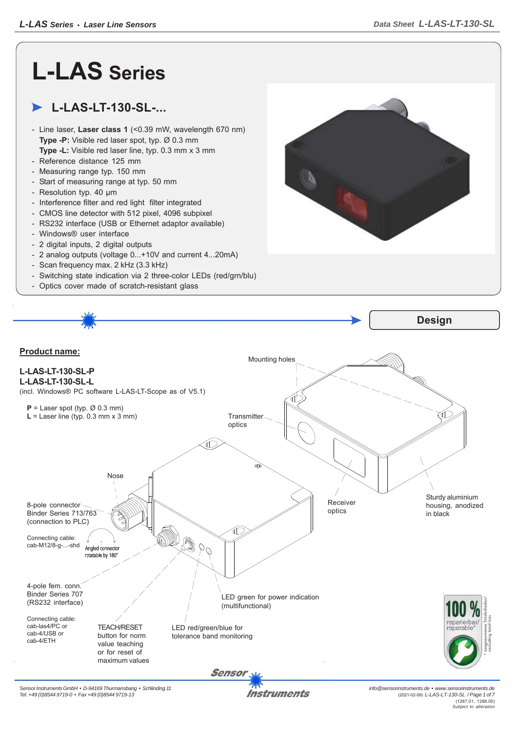## **L-LAS Series**

## **L-LAS-LT-130-SL-...**

- Line laser, **Laser class 1** (<0.39 mW, wavelength 670 nm) **Type -P:** Visible red laser spot, typ. Ø 0.3 mm **Type -L:** Visible red laser line, typ. 0.3 mm x 3 mm
- Reference distance 125 mm
- Measuring range typ. 150 mm
- Start of measuring range at typ. 50 mm
- Resolution typ. 40 μm
- Interference filter and red light filter integrated
- CMOS line detector with 512 pixel, 4096 subpixel
- RS232 interface (USB or Ethernet adaptor available)
- Windows® user interface
- 2 digital inputs, 2 digital outputs
- 2 analog outputs (voltage 0...+10V and current 4...20mA)
- Scan frequency max. 2 kHz (3.3 kHz)
- Switching state indication via 2 three-color LEDs (red/grn/blu)
- Optics cover made of scratch-resistant glass





**Instruments**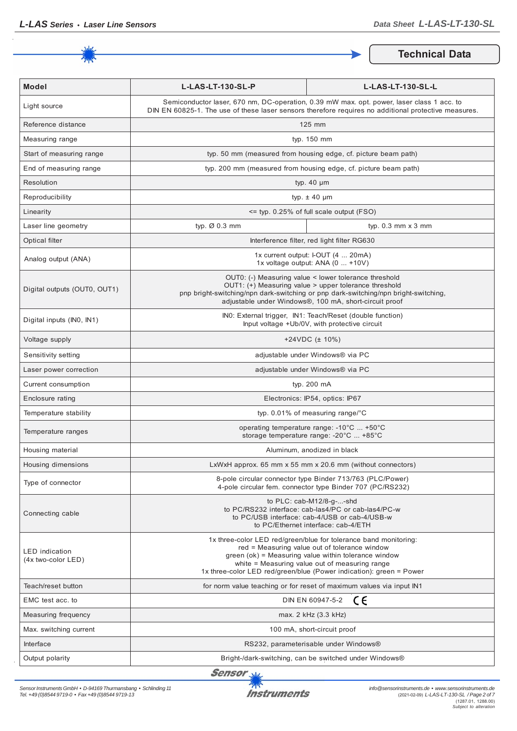

**Technical Data**

| <b>Model</b>                                | L-LAS-LT-130-SL-P                                                                                                                                                                                                                                                                                  | L-LAS-LT-130-SL-L                                                                                                      |  |
|---------------------------------------------|----------------------------------------------------------------------------------------------------------------------------------------------------------------------------------------------------------------------------------------------------------------------------------------------------|------------------------------------------------------------------------------------------------------------------------|--|
| Light source                                | Semiconductor laser, 670 nm, DC-operation, 0.39 mW max. opt. power, laser class 1 acc. to<br>DIN EN 60825-1. The use of these laser sensors therefore requires no additional protective measures.                                                                                                  |                                                                                                                        |  |
| Reference distance                          | 125 mm                                                                                                                                                                                                                                                                                             |                                                                                                                        |  |
| Measuring range                             | typ. 150 mm                                                                                                                                                                                                                                                                                        |                                                                                                                        |  |
| Start of measuring range                    | typ. 50 mm (measured from housing edge, cf. picture beam path)                                                                                                                                                                                                                                     |                                                                                                                        |  |
| End of measuring range                      | typ. 200 mm (measured from housing edge, cf. picture beam path)                                                                                                                                                                                                                                    |                                                                                                                        |  |
| Resolution                                  | typ. $40 \mu m$                                                                                                                                                                                                                                                                                    |                                                                                                                        |  |
| Reproducibility                             | typ. $\pm$ 40 µm                                                                                                                                                                                                                                                                                   |                                                                                                                        |  |
| Linearity                                   | <= typ. 0.25% of full scale output (FSO)                                                                                                                                                                                                                                                           |                                                                                                                        |  |
| Laser line geometry                         | typ. Ø 0.3 mm                                                                                                                                                                                                                                                                                      | typ. $0.3$ mm $\times$ 3 mm                                                                                            |  |
| Optical filter                              |                                                                                                                                                                                                                                                                                                    | Interference filter, red light filter RG630                                                                            |  |
| Analog output (ANA)                         | 1x current output: I-OUT (4  20mA)<br>1x voltage output: ANA (0  +10V)                                                                                                                                                                                                                             |                                                                                                                        |  |
| Digital outputs (OUT0, OUT1)                | OUT0: (-) Measuring value < lower tolerance threshold<br>OUT1: (+) Measuring value > upper tolerance threshold<br>pnp bright-switching/npn dark-switching or pnp dark-switching/npn bright-switching,<br>adjustable under Windows®, 100 mA, short-circuit proof                                    |                                                                                                                        |  |
| Digital inputs (INO, IN1)                   | INO: External trigger, IN1: Teach/Reset (double function)<br>Input voltage +Ub/0V, with protective circuit                                                                                                                                                                                         |                                                                                                                        |  |
| Voltage supply                              | +24VDC $(\pm 10\%)$                                                                                                                                                                                                                                                                                |                                                                                                                        |  |
| Sensitivity setting                         | adjustable under Windows® via PC                                                                                                                                                                                                                                                                   |                                                                                                                        |  |
| Laser power correction                      | adjustable under Windows® via PC                                                                                                                                                                                                                                                                   |                                                                                                                        |  |
| Current consumption                         | typ. 200 mA                                                                                                                                                                                                                                                                                        |                                                                                                                        |  |
| Enclosure rating                            | Electronics: IP54, optics: IP67                                                                                                                                                                                                                                                                    |                                                                                                                        |  |
| Temperature stability                       | typ. $0.01\%$ of measuring range/°C                                                                                                                                                                                                                                                                |                                                                                                                        |  |
| Temperature ranges                          | operating temperature range: -10°C  +50°C<br>storage temperature range: -20°C  +85°C                                                                                                                                                                                                               |                                                                                                                        |  |
| Housing material                            | Aluminum, anodized in black                                                                                                                                                                                                                                                                        |                                                                                                                        |  |
| Housing dimensions                          | LxWxH approx. 65 mm x 55 mm x 20.6 mm (without connectors)                                                                                                                                                                                                                                         |                                                                                                                        |  |
| Type of connector                           |                                                                                                                                                                                                                                                                                                    | 8-pole circular connector type Binder 713/763 (PLC/Power)<br>4-pole circular fem. connector type Binder 707 (PC/RS232) |  |
| Connecting cable                            | to $PLC: cab-M12/8-g--shd$<br>to PC/RS232 interface: cab-las4/PC or cab-las4/PC-w<br>to PC/USB interface: cab-4/USB or cab-4/USB-w<br>to PC/Ethernet interface: cab-4/ETH                                                                                                                          |                                                                                                                        |  |
| <b>LED</b> indication<br>(4x two-color LED) | 1x three-color LED red/green/blue for tolerance band monitoring:<br>red = Measuring value out of tolerance window<br>green (ok) = Measuring value within tolerance window<br>white = Measuring value out of measuring range<br>1x three-color LED red/green/blue (Power indication): green = Power |                                                                                                                        |  |
| Teach/reset button                          | for norm value teaching or for reset of maximum values via input IN1                                                                                                                                                                                                                               |                                                                                                                        |  |
| EMC test acc. to                            | CE<br>DIN EN 60947-5-2                                                                                                                                                                                                                                                                             |                                                                                                                        |  |
| Measuring frequency                         | max. 2 kHz (3.3 kHz)                                                                                                                                                                                                                                                                               |                                                                                                                        |  |
| Max. switching current                      | 100 mA, short-circuit proof                                                                                                                                                                                                                                                                        |                                                                                                                        |  |
| Interface                                   | RS232, parameterisable under Windows®                                                                                                                                                                                                                                                              |                                                                                                                        |  |
| Output polarity                             | Bright-/dark-switching, can be switched under Windows®                                                                                                                                                                                                                                             |                                                                                                                        |  |

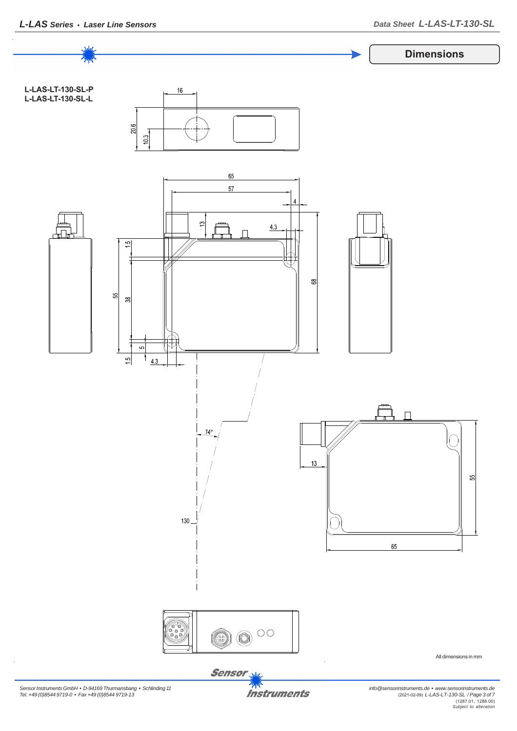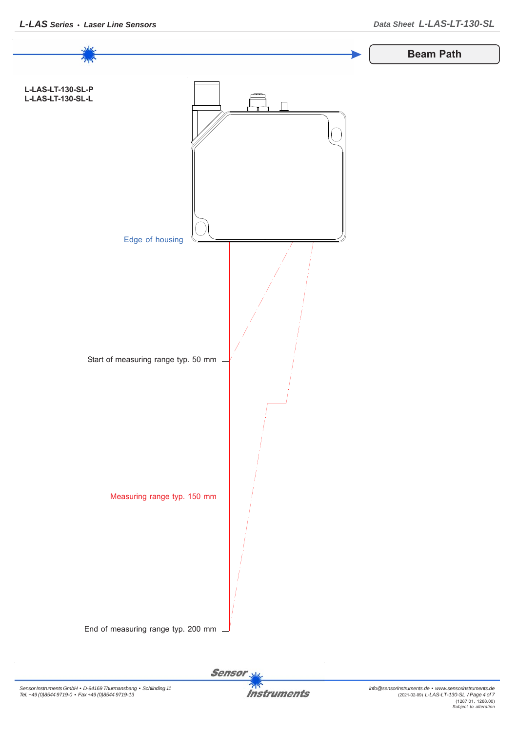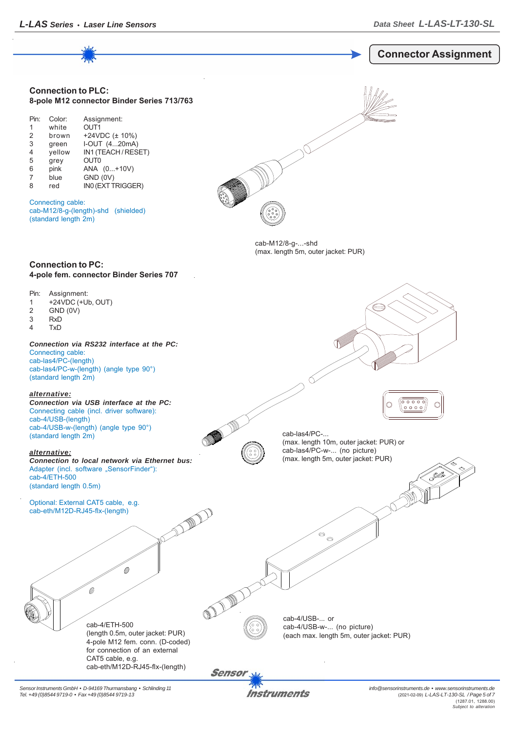

*Sensor Instruments GmbH • D-94169 Thurmansbang • Schlinding 11 Tel. +49 (0)8544 9719-0 • Fax +49 (0)8544 9719-13*

Instruments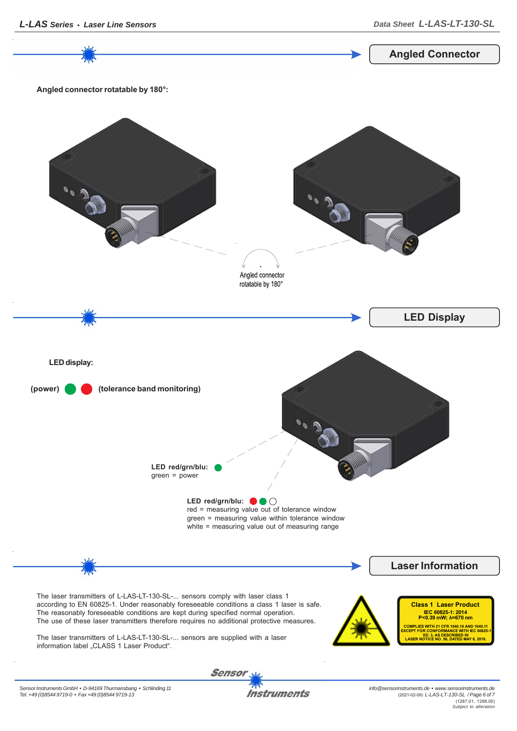*info@sensorinstruments.de • www.sensorinstruments.de* **Instruments** (2021-02-09) *L-LAS-LT-130-SL / Page 6 of 7*

(1287.01, 1288.00) *Subject to alteration*